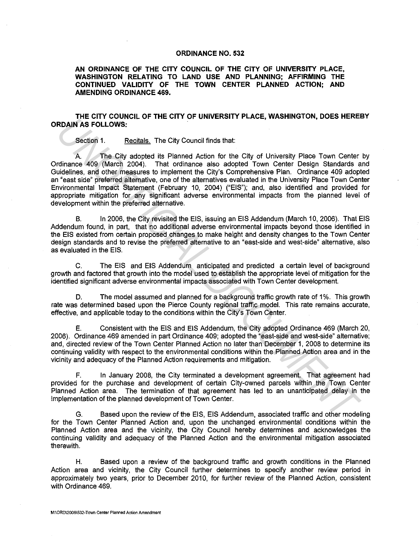## **ORDINANCE NO. 532**

**AN ORDINANCE OF THE CITY COUNCIL OF THE CITY OF UNIVERSITY PLACE, WASHINGTON RELATING TO LAND USE AND PLANNING; AFFIRMING THE CONTINUED VALIDITY OF THE TOWN CENTER PLANNED ACTION; AND AMENDING ORDINANCE 469.** 

## **THE CITY COUNCIL OF THE CITY OF UNIVERSITY PLACE, WASHINGTON, DOES HEREBY ORDAIN AS FOLLOWS:**

Section 1. Recitals. The City Council finds that:

A The City adopted its Planned Action for the City of University Place Town Center by Ordinance 409 (March 2004). That ordinance also adopted Town Center Design Standards and Guidelines, and other measures to implement the City's Comprehensive Plan. Ordinance 409 adopted an "east side" preferred alternative, one of the alternatives evaluated in the University Place Town Center Environmental Impact Statement (February 10, 2004) ("EIS"); and, also identified and provided for appropriate mitigation for any significant adverse environmental impacts from the planned level of development within the preferred alternative. **IF CALCOWS:**<br>
Section 1. **Rechtals** The City council finds that<br>
Section 1. **Rechtals** The City council finds that<br>
ribe case of March 2004). That critical endication for the City of University Place Town Center<br>
ridinanc

B. In 2006, the City revisited the EIS, issuing an EIS Addendum (March 10, 2006). That EIS Addendum found, in part, that no additional adverse environmental impacts beyond those identified in the EIS existed from certain proposed changes to make height and density changes to the Town Center design standards and to revise the preferred alternative to an "east-side and west-side" alternative, also as evaluated in the EIS.

C. The EIS and EIS Addendum anticipated and predicted a certain level of background growth and factored that growth into the model used to establish the appropriate level of mitigation for the identified significant adverse environmental impacts associated with Town Center development.

D. The model assumed and planned for a background traffic growth rate of 1%. This growth rate was determined based upon the Pierce County regional traffic model. This rate remains accurate, effective, and applicable today to the conditions within the City's Town Center.

E. Consistent with the EIS and EIS Addendum, the City adopted Ordinance 469 (March 20, 2006). Ordinance 469 amended in part Ordinance 409; adopted the "east-side and west-side" alternative; and, directed review of the Town Center Planned Action no later than December 1, 2008 to determine its continuing validity with respect to the environmental conditions within the Planned Action area and in the vicinity and adequacy of the Planned Action requirements and mitigation.

F. In January 2008, the City terminated a development agreement. That agreement had provided for the purchase and development of certain City-owned parcels within the Town Center Planned Action area. The termination of that agreement has led to an unanticipated delay in the implementation of the planned development of Town Center.

G. Based upon the review of the EIS, EIS Addendum, associated traffic and other modeling for the Town Center Planned Action and, upon the unchanged environmental conditions within the Planned Action area and the vicinity, the City Council hereby determines and acknowledges the continuing validity and adequacy of the Planned Action and the environmental mitigation associated therewith.

H. Based upon a review of the background traffic and growth conditions in the Planned Action area and vicinity, the City Council further determines to specify another review period in approximately two years, prior to December 2010, for further review of the Planned Action, consistent with Ordinance 469.